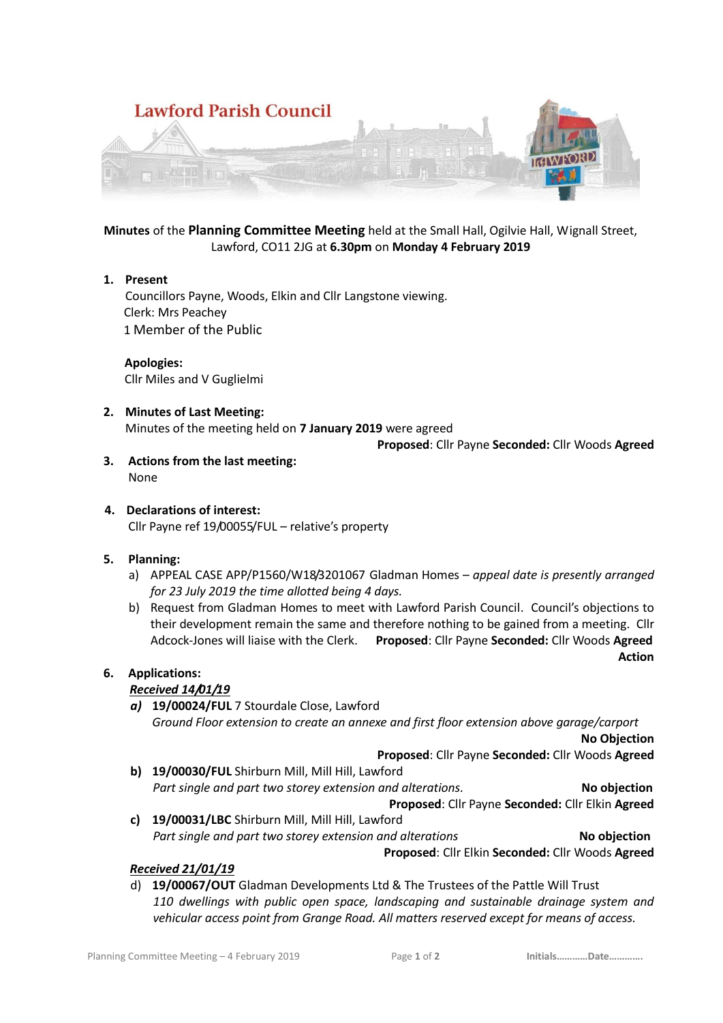

**Minutes** of the **Planning Committee Meeting** held at the Small Hall, Ogilvie Hall, Wignall Street, Lawford, CO11 2JG at **6.30pm** on **Monday 4 February 2019**

#### **1. Present**

Councillors Payne, Woods, Elkin and Cllr Langstone viewing. Clerk: Mrs Peachey 1 Member of the Public

 **Apologies:** Cllr Miles and V Guglielmi

## **2. Minutes of Last Meeting:**

Minutes of the meeting held on **7 January 2019** were agreed

**Proposed**: Cllr Payne **Seconded:** Cllr Woods **Agreed**

**3. Actions from the last meeting:** None

#### **4. Declarations of interest:** Cllr Payne ref 19/00055/FUL – relative's property

## **5. Planning:**

- a) APPEAL CASE APP/P1560/W18/3201067 Gladman Homes *appeal date is presently arranged for 23 July 2019 the time allotted being 4 days.*
- b) Request from Gladman Homes to meet with Lawford Parish Council. Council's objections to their development remain the same and therefore nothing to be gained from a meeting. Cllr Adcock-Jones will liaise with the Clerk. **Proposed**: Cllr Payne **Seconded:** Cllr Woods **Agreed Action**

# **6. Applications:**

## *Received 14/01/19*

*a)* **19/00024/FUL** 7 Stourdale Close, Lawford *Ground Floor extension to create an annexe and first floor extension above garage/carport* **No Objection**

**Proposed**: Cllr Payne **Seconded:** Cllr Woods **Agreed**

- **b) 19/00030/FUL** Shirburn Mill, Mill Hill, Lawford *Part single and part two storey extension and alterations.* **No objection Proposed**: Cllr Payne **Seconded:** Cllr Elkin **Agreed**
- **c) 19/00031/LBC** Shirburn Mill, Mill Hill, Lawford *Part single and part two storey extension and alterations* **No objection**

**Proposed**: Cllr Elkin **Seconded:** Cllr Woods **Agreed**

## *Received 21/01/19*

d) **19/00067/OUT** Gladman Developments Ltd & The Trustees of the Pattle Will Trust *110 dwellings with public open space, landscaping and sustainable drainage system and vehicular access point from Grange Road. All matters reserved except for means of access.*